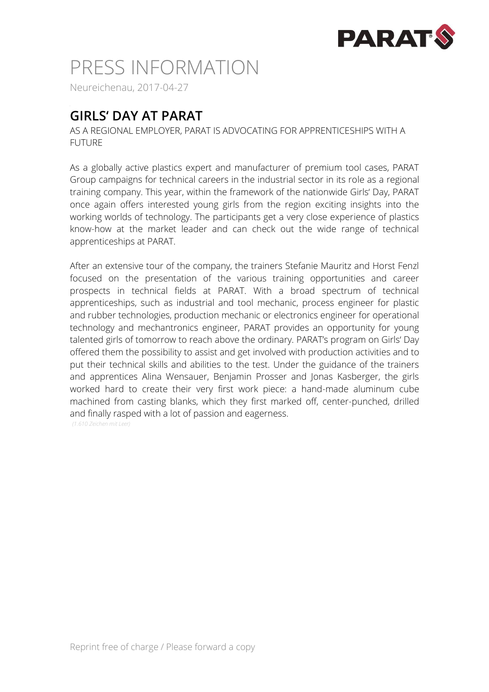

## PRESS INFORMATION

Neureichenau, 2017-04-27

### **GIRLS' DAY AT PARAT**

AS A REGIONAL EMPLOYER, PARAT IS ADVOCATING FOR APPRENTICESHIPS WITH A FUTURE

As a globally active plastics expert and manufacturer of premium tool cases, PARAT Group campaigns for technical careers in the industrial sector in its role as a regional training company. This year, within the framework of the nationwide Girls' Day, PARAT once again offers interested young girls from the region exciting insights into the working worlds of technology. The participants get a very close experience of plastics know-how at the market leader and can check out the wide range of technical apprenticeships at PARAT.

After an extensive tour of the company, the trainers Stefanie Mauritz and Horst Fenzl focused on the presentation of the various training opportunities and career prospects in technical fields at PARAT. With a broad spectrum of technical apprenticeships, such as industrial and tool mechanic, process engineer for plastic and rubber technologies, production mechanic or electronics engineer for operational technology and mechantronics engineer, PARAT provides an opportunity for young talented girls of tomorrow to reach above the ordinary. PARAT's program on Girls' Day offered them the possibility to assist and get involved with production activities and to put their technical skills and abilities to the test. Under the guidance of the trainers and apprentices Alina Wensauer, Benjamin Prosser and Jonas Kasberger, the girls worked hard to create their very first work piece: a hand-made aluminum cube machined from casting blanks, which they first marked off, center-punched, drilled and finally rasped with a lot of passion and eagerness.

*(1.610 Zeichen mit Leer)*